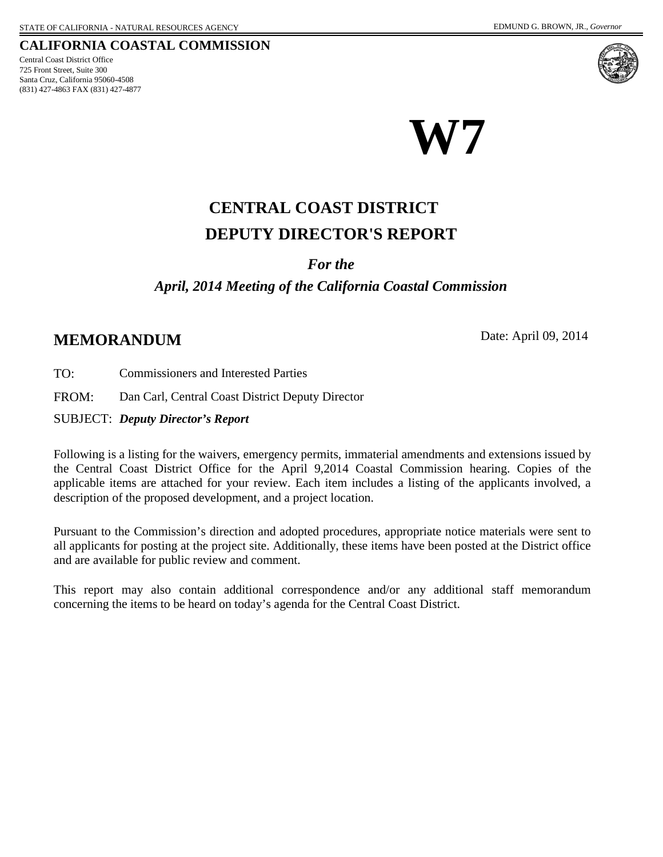#### **CALIFORNIA COASTAL COMMISSION**

725 Front Street, Suite 300 Santa Cruz, California 95060-4508 (831) 427-4863 FAX (831) 427-4877 Central Coast District Office





# **DEPUTY DIRECTOR'S REPORT CENTRAL COAST DISTRICT**

*For the*

*April, 2014 Meeting of the California Coastal Commission*

# **MEMORANDUM** Date: April 09, 2014

TO: Commissioners and Interested Parties

FROM: Dan Carl, Central Coast District Deputy Director

SUBJECT: *Deputy Director's Report*

Following is a listing for the waivers, emergency permits, immaterial amendments and extensions issued by the Central Coast District Office for the April 9,2014 Coastal Commission hearing. Copies of the applicable items are attached for your review. Each item includes a listing of the applicants involved, a description of the proposed development, and a project location.

Pursuant to the Commission's direction and adopted procedures, appropriate notice materials were sent to all applicants for posting at the project site. Additionally, these items have been posted at the District office and are available for public review and comment.

This report may also contain additional correspondence and/or any additional staff memorandum concerning the items to be heard on today's agenda for the Central Coast District.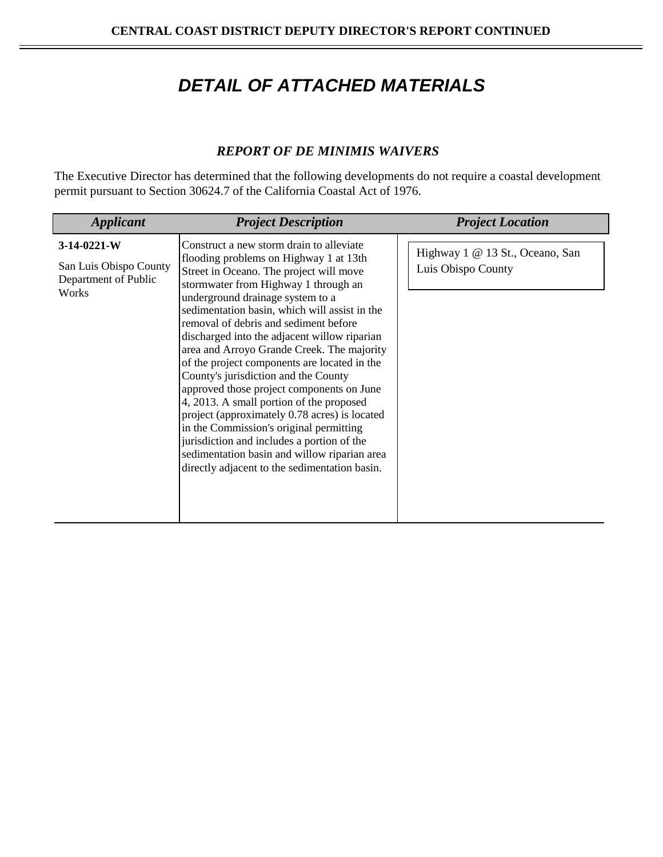# *DETAIL OF ATTACHED MATERIALS*

# *REPORT OF DE MINIMIS WAIVERS*

The Executive Director has determined that the following developments do not require a coastal development permit pursuant to Section 30624.7 of the California Coastal Act of 1976.

| <b>Applicant</b>                                                         | <b>Project Description</b>                                                                                                                                                                                                                                                                                                                                                                                                                                                                                                                                                                                                                                                                                                                                                                                                    | <b>Project Location</b>                               |
|--------------------------------------------------------------------------|-------------------------------------------------------------------------------------------------------------------------------------------------------------------------------------------------------------------------------------------------------------------------------------------------------------------------------------------------------------------------------------------------------------------------------------------------------------------------------------------------------------------------------------------------------------------------------------------------------------------------------------------------------------------------------------------------------------------------------------------------------------------------------------------------------------------------------|-------------------------------------------------------|
| $3-14-0221-W$<br>San Luis Obispo County<br>Department of Public<br>Works | Construct a new storm drain to alleviate<br>flooding problems on Highway 1 at 13th<br>Street in Oceano. The project will move<br>stormwater from Highway 1 through an<br>underground drainage system to a<br>sedimentation basin, which will assist in the<br>removal of debris and sediment before<br>discharged into the adjacent willow riparian<br>area and Arroyo Grande Creek. The majority<br>of the project components are located in the<br>County's jurisdiction and the County<br>approved those project components on June<br>4, 2013. A small portion of the proposed<br>project (approximately 0.78 acres) is located<br>in the Commission's original permitting<br>jurisdiction and includes a portion of the<br>sedimentation basin and willow riparian area<br>directly adjacent to the sedimentation basin. | Highway 1 @ 13 St., Oceano, San<br>Luis Obispo County |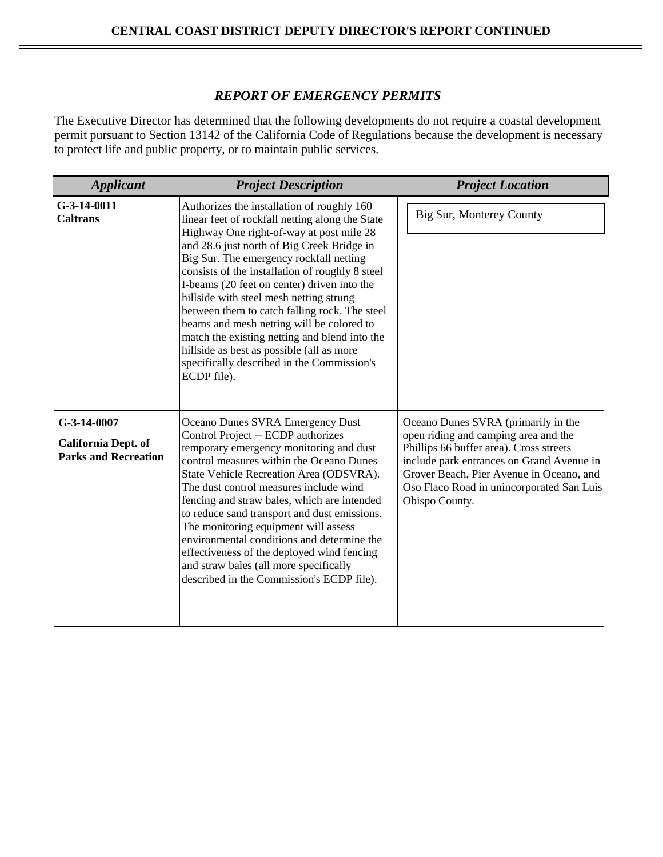## *REPORT OF EMERGENCY PERMITS*

The Executive Director has determined that the following developments do not require a coastal development permit pursuant to Section 13142 of the California Code of Regulations because the development is necessary to protect life and public property, or to maintain public services.

| <b>Applicant</b>                                                  | <b>Project Description</b>                                                                                                                                                                                                                                                                                                                                                                                                                                                                                                                                                                                                               | <b>Project Location</b>                                                                                                                                                                                                                                                        |
|-------------------------------------------------------------------|------------------------------------------------------------------------------------------------------------------------------------------------------------------------------------------------------------------------------------------------------------------------------------------------------------------------------------------------------------------------------------------------------------------------------------------------------------------------------------------------------------------------------------------------------------------------------------------------------------------------------------------|--------------------------------------------------------------------------------------------------------------------------------------------------------------------------------------------------------------------------------------------------------------------------------|
| G-3-14-0011<br><b>Caltrans</b>                                    | Authorizes the installation of roughly 160<br>linear feet of rockfall netting along the State<br>Highway One right-of-way at post mile 28<br>and 28.6 just north of Big Creek Bridge in<br>Big Sur. The emergency rockfall netting<br>consists of the installation of roughly 8 steel<br>I-beams (20 feet on center) driven into the<br>hillside with steel mesh netting strung<br>between them to catch falling rock. The steel<br>beams and mesh netting will be colored to<br>match the existing netting and blend into the<br>hillside as best as possible (all as more<br>specifically described in the Commission's<br>ECDP file). | Big Sur, Monterey County                                                                                                                                                                                                                                                       |
| G-3-14-0007<br>California Dept. of<br><b>Parks and Recreation</b> | Oceano Dunes SVRA Emergency Dust<br>Control Project -- ECDP authorizes<br>temporary emergency monitoring and dust<br>control measures within the Oceano Dunes<br>State Vehicle Recreation Area (ODSVRA).<br>The dust control measures include wind<br>fencing and straw bales, which are intended<br>to reduce sand transport and dust emissions.<br>The monitoring equipment will assess<br>environmental conditions and determine the<br>effectiveness of the deployed wind fencing<br>and straw bales (all more specifically<br>described in the Commission's ECDP file).                                                             | Oceano Dunes SVRA (primarily in the<br>open riding and camping area and the<br>Phillips 66 buffer area). Cross streets<br>include park entrances on Grand Avenue in<br>Grover Beach, Pier Avenue in Oceano, and<br>Oso Flaco Road in unincorporated San Luis<br>Obispo County. |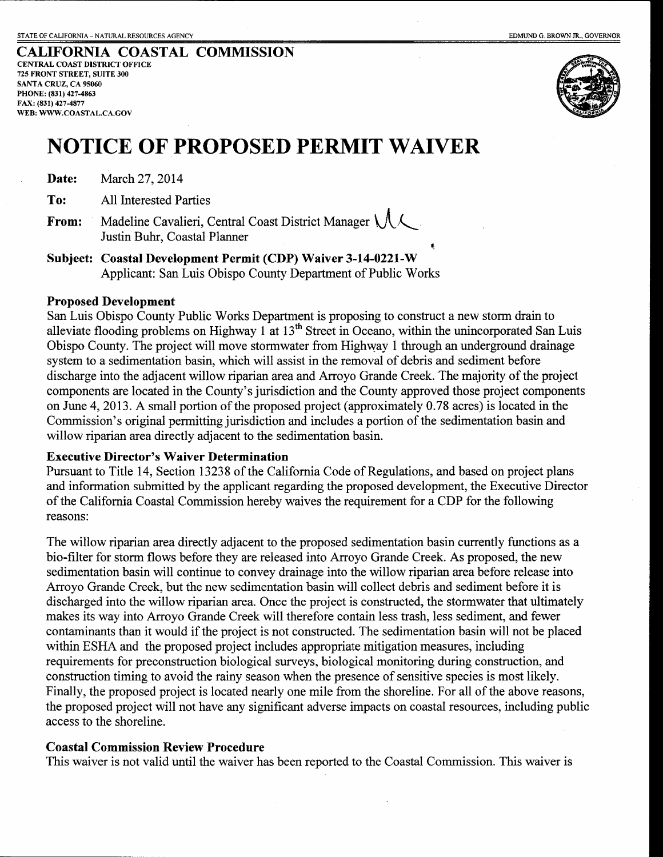**CALIFORNIA COASTAL COMMISSION CENTRAL COAST DISTRICT OFFICE** 725 FRONT STREET, SUITE 300 SANTA CRUZ, CA 95060 PHONE: (831) 427-4863 FAX: (831) 427-4877 WEB: WWW.COASTAL.CA.GOV



# **NOTICE OF PROPOSED PERMIT WAIVER**

Date: March 27, 2014

To: **All Interested Parties** 

Madeline Cavalieri, Central Coast District Manager \ \ From: Justin Buhr, Coastal Planner

Subject: Coastal Development Permit (CDP) Waiver 3-14-0221-W Applicant: San Luis Obispo County Department of Public Works

#### **Proposed Development**

San Luis Obispo County Public Works Department is proposing to construct a new storm drain to alleviate flooding problems on Highway 1 at  $13<sup>th</sup>$  Street in Oceano, within the unincorporated San Luis Obispo County. The project will move stormwater from Highway 1 through an underground drainage system to a sedimentation basin, which will assist in the removal of debris and sediment before discharge into the adjacent willow riparian area and Arroyo Grande Creek. The majority of the project components are located in the County's jurisdiction and the County approved those project components on June 4, 2013. A small portion of the proposed project (approximately 0.78 acres) is located in the Commission's original permitting jurisdiction and includes a portion of the sedimentation basin and willow riparian area directly adjacent to the sedimentation basin.

### **Executive Director's Waiver Determination**

Pursuant to Title 14, Section 13238 of the California Code of Regulations, and based on project plans and information submitted by the applicant regarding the proposed development, the Executive Director of the California Coastal Commission hereby waives the requirement for a CDP for the following reasons:

The willow riparian area directly adjacent to the proposed sedimentation basin currently functions as a bio-filter for storm flows before they are released into Arroyo Grande Creek. As proposed, the new sedimentation basin will continue to convey drainage into the willow riparian area before release into Arroyo Grande Creek, but the new sedimentation basin will collect debris and sediment before it is discharged into the willow riparian area. Once the project is constructed, the stormwater that ultimately makes its way into Arroyo Grande Creek will therefore contain less trash, less sediment, and fewer contaminants than it would if the project is not constructed. The sedimentation basin will not be placed within ESHA and the proposed project includes appropriate mitigation measures, including requirements for preconstruction biological surveys, biological monitoring during construction, and construction timing to avoid the rainy season when the presence of sensitive species is most likely. Finally, the proposed project is located nearly one mile from the shoreline. For all of the above reasons, the proposed project will not have any significant adverse impacts on coastal resources, including public access to the shoreline.

#### **Coastal Commission Review Procedure**

This waiver is not valid until the waiver has been reported to the Coastal Commission. This waiver is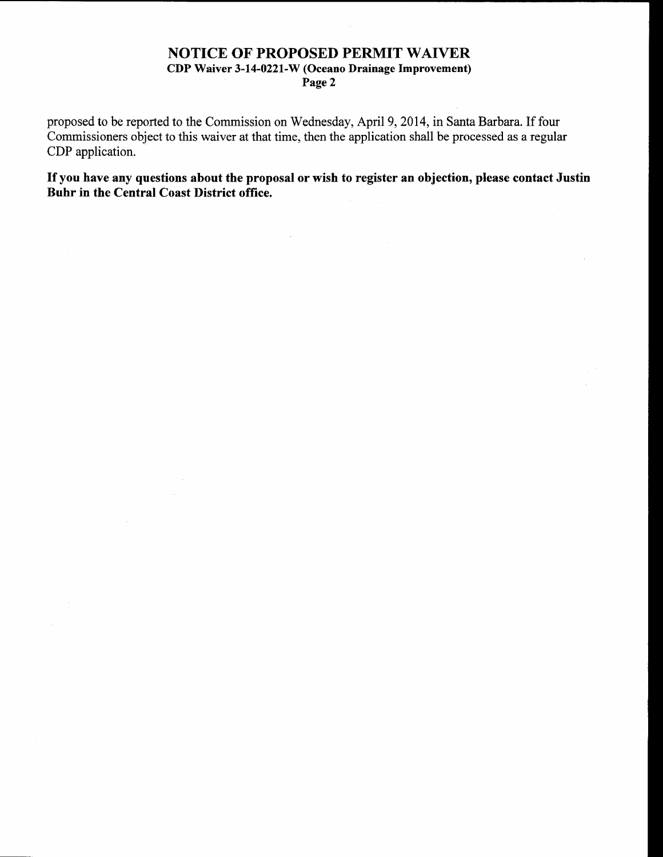# NOTICE OF PROPOSED PERMIT WAIVER CDP Waiver 3-14-0221-W (Oceano Drainage Improvement)

Page 2

proposed to be reported to the Commission on Wednesday, April 9, 2014, in Santa Barbara. If four Commissioners object to this waiver at that time, then the application shall be processed as a regular CDP application.

If you have any questions about the proposal or wish to register an objection, please contact Justin Buhr in the Central Coast District office.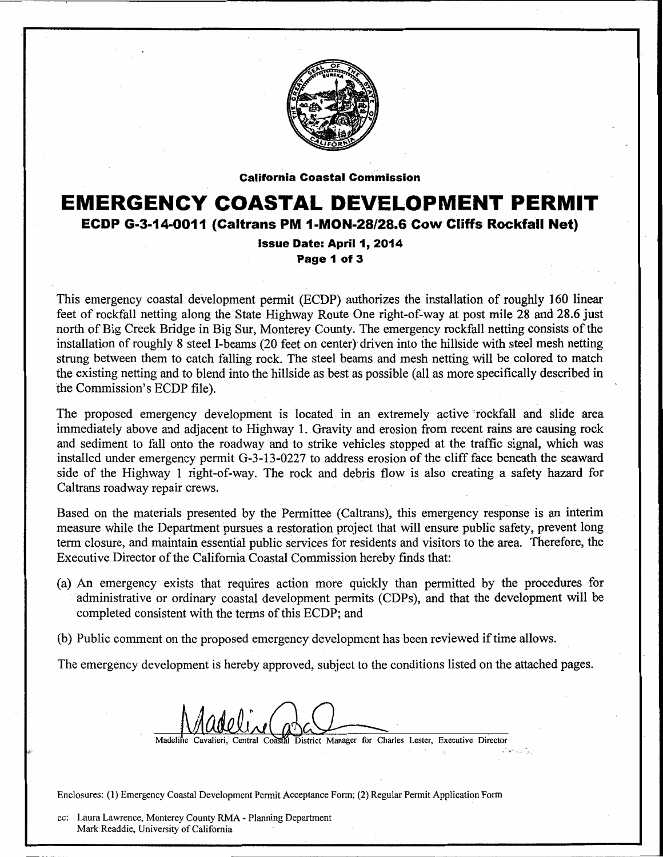

**California Coastal Commission** 

# **EMERGENCY COASTAL DEVELOPMENT PERMIT** ECDP G-3-14-0011 (Caltrans PM 1-MON-28/28.6 Cow Cliffs Rockfall Net)

**Issue Date: April 1, 2014** Page 1 of 3

This emergency coastal development permit (ECDP) authorizes the installation of roughly 160 linear feet of rockfall netting along the State Highway Route One right-of-way at post mile 28 and 28.6 just north of Big Creek Bridge in Big Sur, Monterey County. The emergency rockfall netting consists of the installation of roughly 8 steel I-beams (20 feet on center) driven into the hillside with steel mesh netting strung between them to catch falling rock. The steel beams and mesh netting will be colored to match the existing netting and to blend into the hillside as best as possible (all as more specifically described in the Commission's ECDP file).

The proposed emergency development is located in an extremely active rockfall and slide area immediately above and adjacent to Highway 1. Gravity and erosion from recent rains are causing rock and sediment to fall onto the roadway and to strike vehicles stopped at the traffic signal, which was installed under emergency permit G-3-13-0227 to address erosion of the cliff face beneath the seaward side of the Highway 1 right-of-way. The rock and debris flow is also creating a safety hazard for Caltrans roadway repair crews.

Based on the materials presented by the Permittee (Caltrans), this emergency response is an interim measure while the Department pursues a restoration project that will ensure public safety, prevent long term closure, and maintain essential public services for residents and visitors to the area. Therefore, the Executive Director of the California Coastal Commission hereby finds that:

(a) An emergency exists that requires action more quickly than permitted by the procedures for administrative or ordinary coastal development permits (CDPs), and that the development will be completed consistent with the terms of this ECDP; and

(b) Public comment on the proposed emergency development has been reviewed if time allows.

The emergency development is hereby approved, subject to the conditions listed on the attached pages.

District Manager for Charles Lester, Executive Director

Enclosures: (1) Emergency Coastal Development Permit Acceptance Form; (2) Regular Permit Application Form

cc: Laura Lawrence, Monterey County RMA - Planning Department Mark Readdie, University of California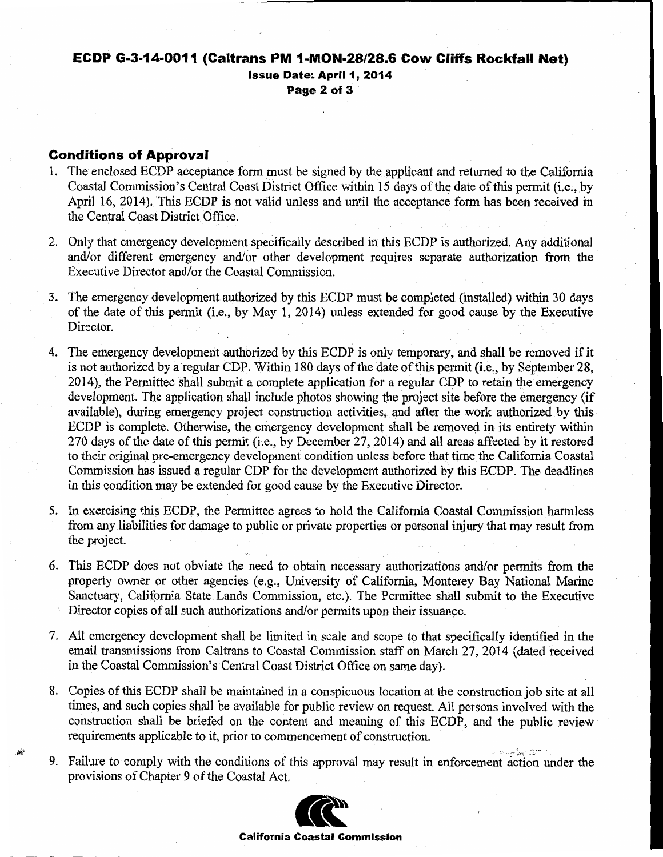# ECDP G-3-14-0011 (Caltrans PM 1-MON-28/28.6 Cow Cliffs Rockfall Net) **Issue Date: April 1, 2014** Page 2 of 3

#### **Conditions of Approval**

- 1. The enclosed ECDP acceptance form must be signed by the applicant and returned to the California Coastal Commission's Central Coast District Office within 15 days of the date of this permit (i.e., by April 16, 2014). This ECDP is not valid unless and until the acceptance form has been received in the Central Coast District Office.
- 2. Only that emergency development specifically described in this ECDP is authorized. Any additional and/or different emergency and/or other development requires separate authorization from the Executive Director and/or the Coastal Commission.
- 3. The emergency development authorized by this ECDP must be completed (installed) within 30 days of the date of this permit (i.e., by May 1, 2014) unless extended for good cause by the Executive Director.
- 4. The emergency development authorized by this ECDP is only temporary, and shall be removed if it is not authorized by a regular CDP. Within 180 days of the date of this permit (i.e., by September 28, 2014), the Permittee shall submit a complete application for a regular CDP to retain the emergency development. The application shall include photos showing the project site before the emergency (if available), during emergency project construction activities, and after the work authorized by this ECDP is complete. Otherwise, the emergency development shall be removed in its entirety within 270 days of the date of this permit (i.e., by December 27, 2014) and all areas affected by it restored to their original pre-emergency development condition unless before that time the California Coastal Commission has issued a regular CDP for the development authorized by this ECDP. The deadlines in this condition may be extended for good cause by the Executive Director.
- 5. In exercising this ECDP, the Permittee agrees to hold the California Coastal Commission harmless from any liabilities for damage to public or private properties or personal injury that may result from the project.
- 6. This ECDP does not obviate the need to obtain necessary authorizations and/or permits from the property owner or other agencies (e.g., University of California, Monterey Bay National Marine Sanctuary, California State Lands Commission, etc.). The Permittee shall submit to the Executive Director copies of all such authorizations and/or permits upon their issuance.
- 7. All emergency development shall be limited in scale and scope to that specifically identified in the email transmissions from Caltrans to Coastal Commission staff on March 27, 2014 (dated received in the Coastal Commission's Central Coast District Office on same day).
- 8. Copies of this ECDP shall be maintained in a conspicuous location at the construction job site at all times, and such copies shall be available for public review on request. All persons involved with the construction shall be briefed on the content and meaning of this ECDP, and the public review requirements applicable to it, prior to commencement of construction.
- 9. Failure to comply with the conditions of this approval may result in enforcement action under the provisions of Chapter 9 of the Coastal Act.

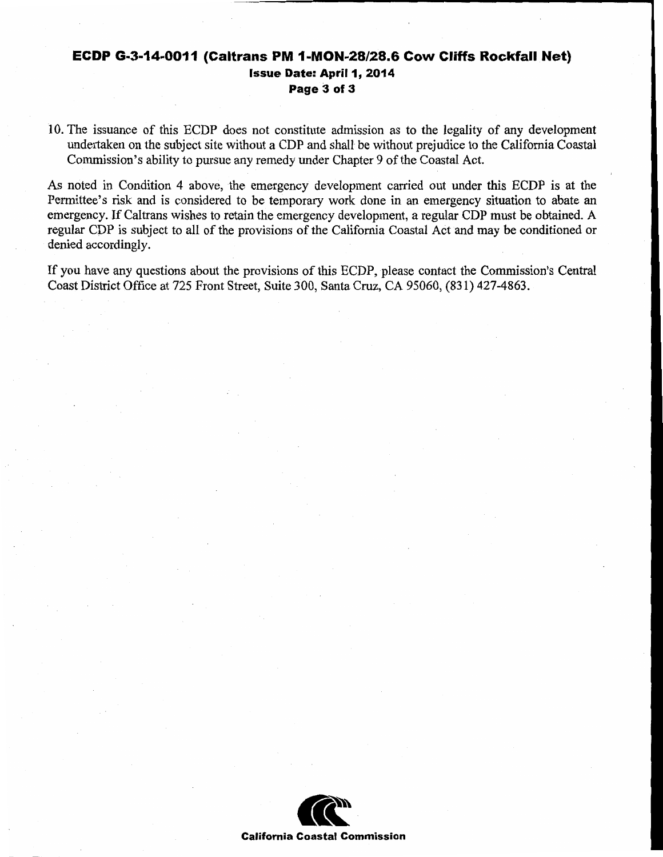# ECDP G-3-14-0011 (Caltrans PM 1-MON-28/28.6 Cow Cliffs Rockfall Net) **Issue Date: April 1, 2014** Page 3 of 3

10. The issuance of this ECDP does not constitute admission as to the legality of any development undertaken on the subject site without a CDP and shall be without prejudice to the California Coastal Commission's ability to pursue any remedy under Chapter 9 of the Coastal Act.

As noted in Condition 4 above, the emergency development carried out under this ECDP is at the Permittee's risk and is considered to be temporary work done in an emergency situation to abate an emergency. If Caltrans wishes to retain the emergency development, a regular CDP must be obtained. A regular CDP is subject to all of the provisions of the California Coastal Act and may be conditioned or denied accordingly.

If you have any questions about the provisions of this ECDP, please contact the Commission's Central Coast District Office at 725 Front Street, Suite 300, Santa Cruz, CA 95060, (831) 427-4863.

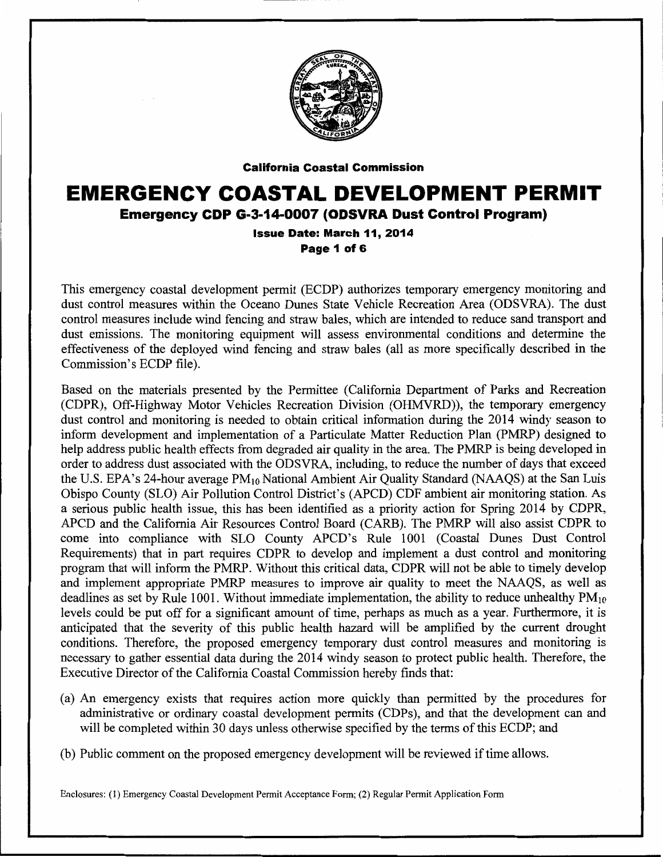

#### **California Coastal Commission**

# **EMERGENCY COASTAL DEVELOPMENT PERMIT**

Emergency CDP G-3-14-0007 (ODSVRA Dust Control Program)

#### Issue Date: March 11, 2014 Page 1 of 6

This emergency coastal development permit (ECDP) authorizes temporary emergency monitoring and dust control measures within the Oceano Dunes State Vehicle Recreation Area (ODSVRA). The dust control measures include wind fencing and straw bales, which are intended to reduce sand transport and dust emissions. The monitoring equipment will assess environmental conditions and determine the effectiveness of the deployed wind fencing and straw bales (all as more specifically described in the Commission's ECDP file).

Based on the materials presented by the Permittee (California Department of Parks and Recreation (CDPR), Off-Highway Motor Vehicles Recreation Division (OHMVRD)), the temporary emergency dust control and monitoring is needed to obtain critical information during the 2014 windy season to inform development and implementation of a Particulate Matter Reduction Plan (PMRP) designed to help address public health effects from degraded air quality in the area. The PMRP is being developed in order to address dust associated with the ODSVRA, including, to reduce the number of days that exceed the U.S. EPA's 24-hour average PM<sub>10</sub> National Ambient Air Quality Standard (NAAQS) at the San Luis Obispo County (SLO) Air Pollution Control District's (APCD) CDF ambient air monitoring station. As a serious public health issue, this has been identified as a priority action for Spring 2014 by CDPR, APCD and the California Air Resources Control Board (CARB). The PMRP will also assist CDPR to come into compliance with SLO County APCD's Rule 1001 (Coastal Dunes Dust Control Requirements) that in part requires CDPR to develop and implement a dust control and monitoring program that will inform the PMRP. Without this critical data, CDPR will not be able to timely develop and implement appropriate PMRP measures to improve air quality to meet the NAAQS, as well as deadlines as set by Rule 1001. Without immediate implementation, the ability to reduce unhealthy  $PM_{10}$ levels could be put off for a significant amount of time, perhaps as much as a year. Furthermore, it is anticipated that the severity of this public health hazard will be amplified by the current drought conditions. Therefore, the proposed emergency temporary dust control measures and monitoring is necessary to gather essential data during the 2014 windy season to protect public health. Therefore, the Executive Director of the California Coastal Commission hereby finds that:

(a) An emergency exists that requires action more quickly than permitted by the procedures for administrative or ordinary coastal development permits (CDPs), and that the development can and will be completed within 30 days unless otherwise specified by the terms of this ECDP; and

(b) Public comment on the proposed emergency development will be reviewed if time allows.

Enclosures: (1) Emergency Coastal Development Permit Acceptance Form; (2) Regular Permit Application Form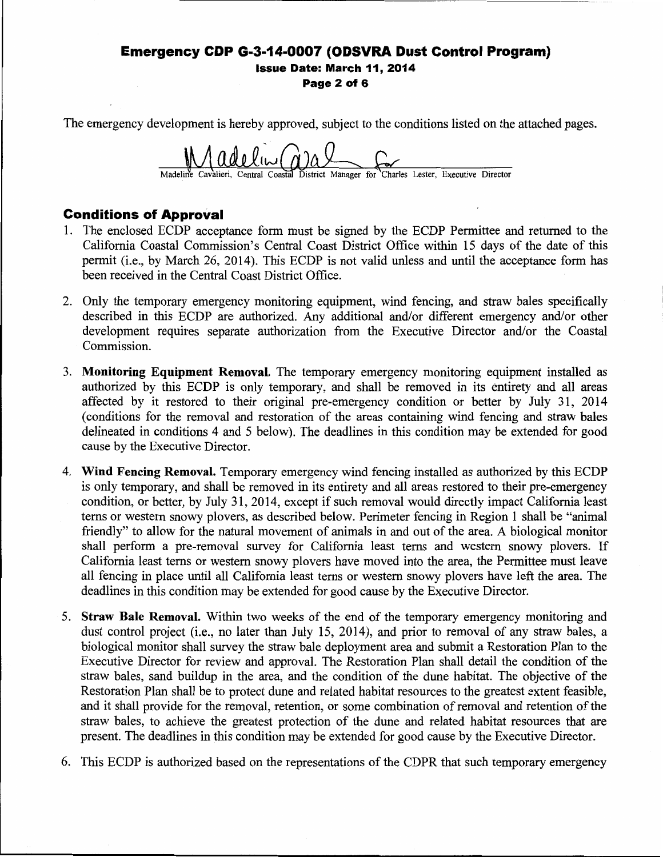### **Emergency CDP G-3-14-0007 (ODSVRA Dust Control Program)** Issue Date: March 11, 2014 Page 2 of 6

The emergency development is hereby approved, subject to the conditions listed on the attached pages.

Madeline Charles Lester, Executive Director

# **Conditions of Approval**

- 1. The enclosed ECDP acceptance form must be signed by the ECDP Permittee and returned to the California Coastal Commission's Central Coast District Office within 15 days of the date of this permit (i.e., by March 26, 2014). This ECDP is not valid unless and until the acceptance form has been received in the Central Coast District Office.
- 2. Only the temporary emergency monitoring equipment, wind fencing, and straw bales specifically described in this ECDP are authorized. Any additional and/or different emergency and/or other development requires separate authorization from the Executive Director and/or the Coastal Commission.
- 3. Monitoring Equipment Removal. The temporary emergency monitoring equipment installed as authorized by this ECDP is only temporary, and shall be removed in its entirety and all areas affected by it restored to their original pre-emergency condition or better by July 31, 2014 (conditions for the removal and restoration of the areas containing wind fencing and straw bales delineated in conditions 4 and 5 below). The deadlines in this condition may be extended for good cause by the Executive Director.
- 4. Wind Fencing Removal. Temporary emergency wind fencing installed as authorized by this ECDP is only temporary, and shall be removed in its entirety and all areas restored to their pre-emergency condition, or better, by July 31, 2014, except if such removal would directly impact California least terns or western snowy plovers, as described below. Perimeter fencing in Region 1 shall be "animal" friendly" to allow for the natural movement of animals in and out of the area. A biological monitor shall perform a pre-removal survey for California least terns and western snowy plovers. If California least terns or western snowy plovers have moved into the area, the Permittee must leave all fencing in place until all California least terns or western snowy plovers have left the area. The deadlines in this condition may be extended for good cause by the Executive Director.
- 5. Straw Bale Removal. Within two weeks of the end of the temporary emergency monitoring and dust control project (i.e., no later than July 15, 2014), and prior to removal of any straw bales, a biological monitor shall survey the straw bale deployment area and submit a Restoration Plan to the Executive Director for review and approval. The Restoration Plan shall detail the condition of the straw bales, sand buildup in the area, and the condition of the dune habitat. The objective of the Restoration Plan shall be to protect dune and related habitat resources to the greatest extent feasible, and it shall provide for the removal, retention, or some combination of removal and retention of the straw bales, to achieve the greatest protection of the dune and related habitat resources that are present. The deadlines in this condition may be extended for good cause by the Executive Director.
- 6. This ECDP is authorized based on the representations of the CDPR that such temporary emergency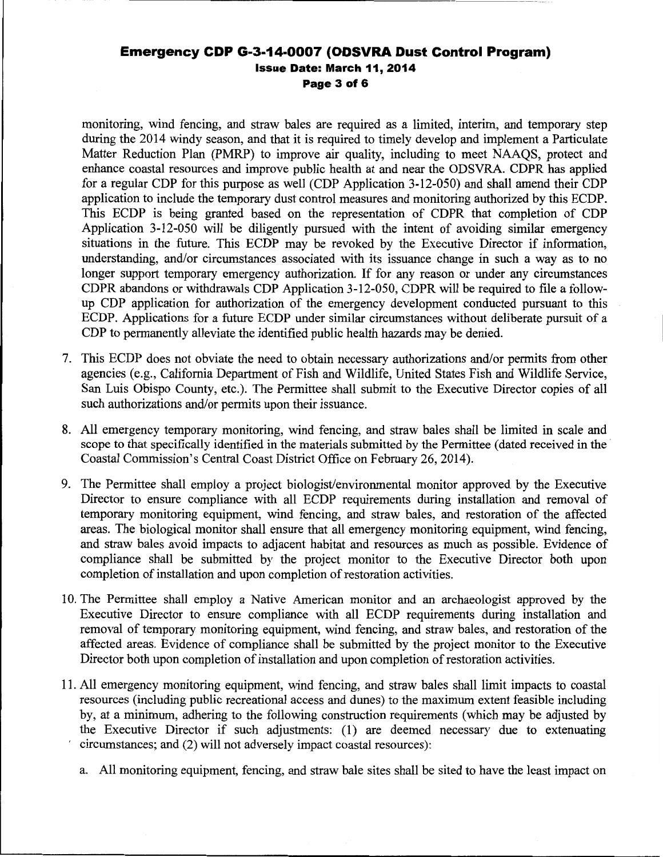## **Emergency CDP G-3-14-0007 (ODSVRA Dust Control Program)** Issue Date: March 11, 2014 Page 3 of 6

monitoring, wind fencing, and straw bales are required as a limited, interim, and temporary step during the 2014 windy season, and that it is required to timely develop and implement a Particulate Matter Reduction Plan (PMRP) to improve air quality, including to meet NAAQS, protect and enhance coastal resources and improve public health at and near the ODSVRA. CDPR has applied for a regular CDP for this purpose as well (CDP Application 3-12-050) and shall amend their CDP application to include the temporary dust control measures and monitoring authorized by this ECDP. This ECDP is being granted based on the representation of CDPR that completion of CDP Application 3-12-050 will be diligently pursued with the intent of avoiding similar emergency situations in the future. This ECDP may be revoked by the Executive Director if information, understanding, and/or circumstances associated with its issuance change in such a way as to no longer support temporary emergency authorization. If for any reason or under any circumstances CDPR abandons or withdrawals CDP Application 3-12-050, CDPR will be required to file a followup CDP application for authorization of the emergency development conducted pursuant to this ECDP. Applications for a future ECDP under similar circumstances without deliberate pursuit of a CDP to permanently alleviate the identified public health hazards may be denied.

- 7. This ECDP does not obviate the need to obtain necessary authorizations and/or permits from other agencies (e.g., California Department of Fish and Wildlife, United States Fish and Wildlife Service, San Luis Obispo County, etc.). The Permittee shall submit to the Executive Director copies of all such authorizations and/or permits upon their issuance.
- 8. All emergency temporary monitoring, wind fencing, and straw bales shall be limited in scale and scope to that specifically identified in the materials submitted by the Permittee (dated received in the Coastal Commission's Central Coast District Office on February 26, 2014).
- 9. The Permittee shall employ a project biologist/environmental monitor approved by the Executive Director to ensure compliance with all ECDP requirements during installation and removal of temporary monitoring equipment, wind fencing, and straw bales, and restoration of the affected areas. The biological monitor shall ensure that all emergency monitoring equipment, wind fencing, and straw bales avoid impacts to adjacent habitat and resources as much as possible. Evidence of compliance shall be submitted by the project monitor to the Executive Director both upon completion of installation and upon completion of restoration activities.
- 10. The Permittee shall employ a Native American monitor and an archaeologist approved by the Executive Director to ensure compliance with all ECDP requirements during installation and removal of temporary monitoring equipment, wind fencing, and straw bales, and restoration of the affected areas. Evidence of compliance shall be submitted by the project monitor to the Executive Director both upon completion of installation and upon completion of restoration activities.
- 11. All emergency monitoring equipment, wind fencing, and straw bales shall limit impacts to coastal resources (including public recreational access and dunes) to the maximum extent feasible including by, at a minimum, adhering to the following construction requirements (which may be adjusted by the Executive Director if such adjustments: (1) are deemed necessary due to extenuating circumstances; and (2) will not adversely impact coastal resources):
	- a. All monitoring equipment, fencing, and straw bale sites shall be sited to have the least impact on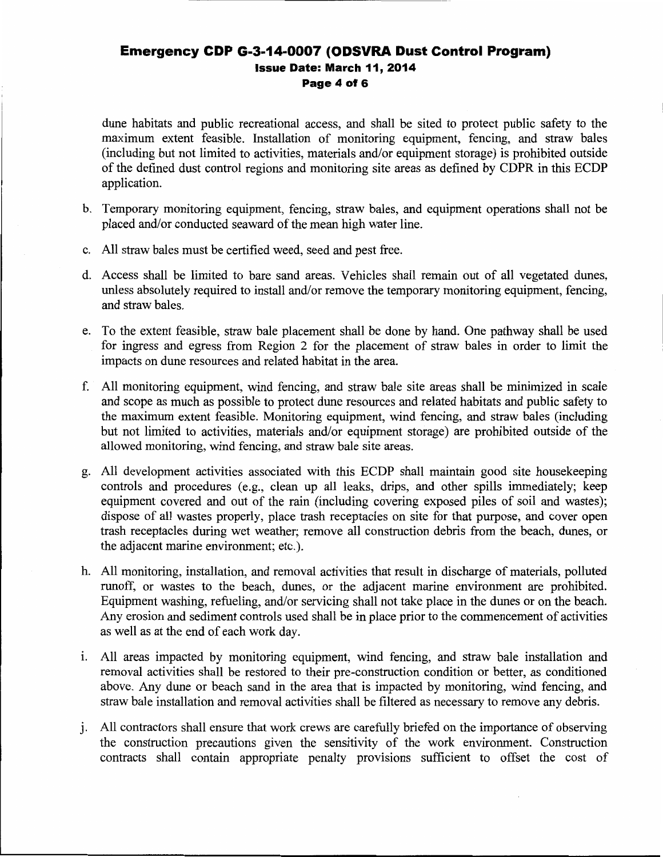## Emergency CDP G-3-14-0007 (ODSVRA Dust Control Program) **Issue Date: March 11, 2014** Page 4 of 6

dune habitats and public recreational access, and shall be sited to protect public safety to the maximum extent feasible. Installation of monitoring equipment, fencing, and straw bales (including but not limited to activities, materials and/or equipment storage) is prohibited outside of the defined dust control regions and monitoring site areas as defined by CDPR in this ECDP application.

- b. Temporary monitoring equipment, fencing, straw bales, and equipment operations shall not be placed and/or conducted seaward of the mean high water line.
- c. All straw bales must be certified weed, seed and pest free.
- d. Access shall be limited to bare sand areas. Vehicles shall remain out of all vegetated dunes, unless absolutely required to install and/or remove the temporary monitoring equipment, fencing, and straw bales.
- e. To the extent feasible, straw bale placement shall be done by hand. One pathway shall be used for ingress and egress from Region 2 for the placement of straw bales in order to limit the impacts on dune resources and related habitat in the area.
- f. All monitoring equipment, wind fencing, and straw bale site areas shall be minimized in scale and scope as much as possible to protect dune resources and related habitats and public safety to the maximum extent feasible. Monitoring equipment, wind fencing, and straw bales (including but not limited to activities, materials and/or equipment storage) are prohibited outside of the allowed monitoring, wind fencing, and straw bale site areas.
- g. All development activities associated with this ECDP shall maintain good site housekeeping controls and procedures (e.g., clean up all leaks, drips, and other spills immediately; keep equipment covered and out of the rain (including covering exposed piles of soil and wastes); dispose of all wastes properly, place trash receptacles on site for that purpose, and cover open trash receptacles during wet weather; remove all construction debris from the beach, dunes, or the adjacent marine environment; etc.).
- h. All monitoring, installation, and removal activities that result in discharge of materials, polluted runoff, or wastes to the beach, dunes, or the adjacent marine environment are prohibited. Equipment washing, refueling, and/or servicing shall not take place in the dunes or on the beach. Any erosion and sediment controls used shall be in place prior to the commencement of activities as well as at the end of each work day.
- i. All areas impacted by monitoring equipment, wind fencing, and straw bale installation and removal activities shall be restored to their pre-construction condition or better, as conditioned above. Any dune or beach sand in the area that is impacted by monitoring, wind fencing, and straw bale installation and removal activities shall be filtered as necessary to remove any debris.
- j. All contractors shall ensure that work crews are carefully briefed on the importance of observing the construction precautions given the sensitivity of the work environment. Construction contracts shall contain appropriate penalty provisions sufficient to offset the cost of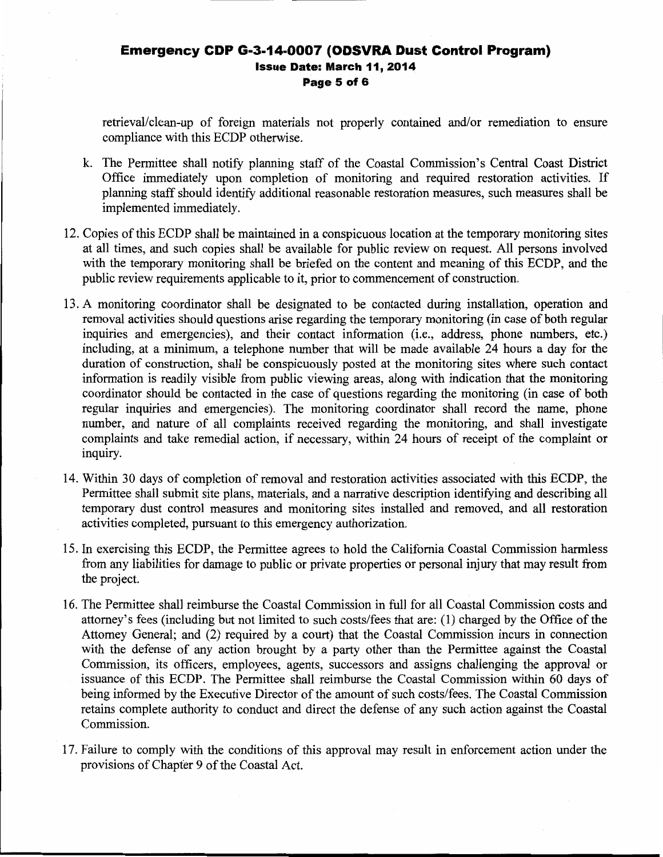### **Emergency CDP G-3-14-0007 (ODSVRA Dust Control Program) Issue Date: March 11, 2014** Page 5 of 6

retrieval/clean-up of foreign materials not properly contained and/or remediation to ensure compliance with this ECDP otherwise.

- k. The Permittee shall notify planning staff of the Coastal Commission's Central Coast District Office immediately upon completion of monitoring and required restoration activities. If planning staff should identify additional reasonable restoration measures, such measures shall be implemented immediately.
- 12. Copies of this ECDP shall be maintained in a conspicuous location at the temporary monitoring sites at all times, and such copies shall be available for public review on request. All persons involved with the temporary monitoring shall be briefed on the content and meaning of this ECDP, and the public review requirements applicable to it, prior to commencement of construction.
- 13. A monitoring coordinator shall be designated to be contacted during installation, operation and removal activities should questions arise regarding the temporary monitoring (in case of both regular inquiries and emergencies), and their contact information (i.e., address, phone numbers, etc.) including, at a minimum, a telephone number that will be made available 24 hours a day for the duration of construction, shall be conspicuously posted at the monitoring sites where such contact information is readily visible from public viewing areas, along with indication that the monitoring coordinator should be contacted in the case of questions regarding the monitoring (in case of both regular inquiries and emergencies). The monitoring coordinator shall record the name, phone number, and nature of all complaints received regarding the monitoring, and shall investigate complaints and take remedial action, if necessary, within 24 hours of receipt of the complaint or inquiry.
- 14. Within 30 days of completion of removal and restoration activities associated with this ECDP, the Permittee shall submit site plans, materials, and a narrative description identifying and describing all temporary dust control measures and monitoring sites installed and removed, and all restoration activities completed, pursuant to this emergency authorization.
- 15. In exercising this ECDP, the Permittee agrees to hold the California Coastal Commission harmless from any liabilities for damage to public or private properties or personal injury that may result from the project.
- 16. The Permittee shall reimburse the Coastal Commission in full for all Coastal Commission costs and attorney's fees (including but not limited to such costs/fees that are: (1) charged by the Office of the Attorney General; and (2) required by a court) that the Coastal Commission incurs in connection with the defense of any action brought by a party other than the Permittee against the Coastal Commission, its officers, employees, agents, successors and assigns challenging the approval or issuance of this ECDP. The Permittee shall reimburse the Coastal Commission within 60 days of being informed by the Executive Director of the amount of such costs/fees. The Coastal Commission retains complete authority to conduct and direct the defense of any such action against the Coastal Commission.
- 17. Failure to comply with the conditions of this approval may result in enforcement action under the provisions of Chapter 9 of the Coastal Act.